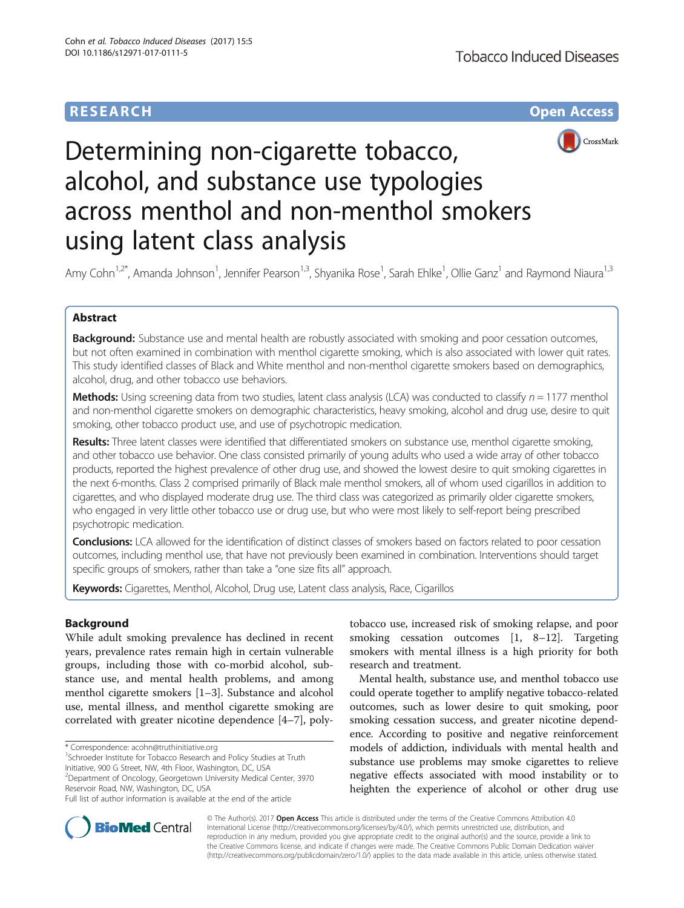# **RESEARCH CHE Open Access**



# Determining non-cigarette tobacco, alcohol, and substance use typologies across menthol and non-menthol smokers using latent class analysis

Amy Cohn<sup>1,2\*</sup>, Amanda Johnson<sup>1</sup>, Jennifer Pearson<sup>1,3</sup>, Shyanika Rose<sup>1</sup>, Sarah Ehlke<sup>1</sup>, Ollie Ganz<sup>1</sup> and Raymond Niaura<sup>1,3</sup>

# Abstract

Background: Substance use and mental health are robustly associated with smoking and poor cessation outcomes, but not often examined in combination with menthol cigarette smoking, which is also associated with lower quit rates. This study identified classes of Black and White menthol and non-menthol cigarette smokers based on demographics, alcohol, drug, and other tobacco use behaviors.

**Methods:** Using screening data from two studies, latent class analysis (LCA) was conducted to classify  $n = 1177$  menthol and non-menthol cigarette smokers on demographic characteristics, heavy smoking, alcohol and drug use, desire to quit smoking, other tobacco product use, and use of psychotropic medication.

Results: Three latent classes were identified that differentiated smokers on substance use, menthol cigarette smoking, and other tobacco use behavior. One class consisted primarily of young adults who used a wide array of other tobacco products, reported the highest prevalence of other drug use, and showed the lowest desire to quit smoking cigarettes in the next 6-months. Class 2 comprised primarily of Black male menthol smokers, all of whom used cigarillos in addition to cigarettes, and who displayed moderate drug use. The third class was categorized as primarily older cigarette smokers, who engaged in very little other tobacco use or drug use, but who were most likely to self-report being prescribed psychotropic medication.

**Conclusions:** LCA allowed for the identification of distinct classes of smokers based on factors related to poor cessation outcomes, including menthol use, that have not previously been examined in combination. Interventions should target specific groups of smokers, rather than take a "one size fits all" approach.

Keywords: Cigarettes, Menthol, Alcohol, Drug use, Latent class analysis, Race, Cigarillos

# **Background**

While adult smoking prevalence has declined in recent years, prevalence rates remain high in certain vulnerable groups, including those with co-morbid alcohol, substance use, and mental health problems, and among menthol cigarette smokers [\[1](#page-7-0)–[3](#page-7-0)]. Substance and alcohol use, mental illness, and menthol cigarette smoking are correlated with greater nicotine dependence [\[4](#page-7-0)–[7](#page-7-0)], poly-

<sup>1</sup>Schroeder Institute for Tobacco Research and Policy Studies at Truth Initiative, 900 G Street, NW, 4th Floor, Washington, DC, USA 2 Department of Oncology, Georgetown University Medical Center, 3970 tobacco use, increased risk of smoking relapse, and poor smoking cessation outcomes [[1, 8](#page-7-0)–[12](#page-7-0)]. Targeting smokers with mental illness is a high priority for both research and treatment.

Mental health, substance use, and menthol tobacco use could operate together to amplify negative tobacco-related outcomes, such as lower desire to quit smoking, poor smoking cessation success, and greater nicotine dependence. According to positive and negative reinforcement models of addiction, individuals with mental health and substance use problems may smoke cigarettes to relieve negative effects associated with mood instability or to heighten the experience of alcohol or other drug use



© The Author(s). 2017 **Open Access** This article is distributed under the terms of the Creative Commons Attribution 4.0 International License [\(http://creativecommons.org/licenses/by/4.0/](http://creativecommons.org/licenses/by/4.0/)), which permits unrestricted use, distribution, and reproduction in any medium, provided you give appropriate credit to the original author(s) and the source, provide a link to the Creative Commons license, and indicate if changes were made. The Creative Commons Public Domain Dedication waiver [\(http://creativecommons.org/publicdomain/zero/1.0/](http://creativecommons.org/publicdomain/zero/1.0/)) applies to the data made available in this article, unless otherwise stated.

<sup>\*</sup> Correspondence: [acohn@truthinitiative.org](mailto:acohn@truthinitiative.org) <sup>1</sup>

Reservoir Road, NW, Washington, DC, USA Full list of author information is available at the end of the article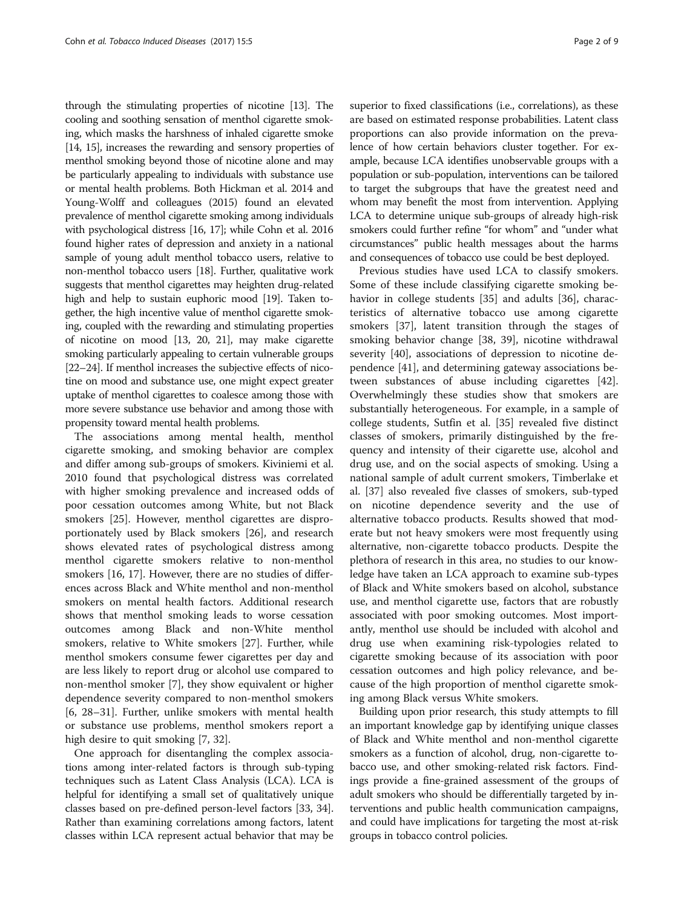through the stimulating properties of nicotine [\[13\]](#page-7-0). The cooling and soothing sensation of menthol cigarette smoking, which masks the harshness of inhaled cigarette smoke [[14](#page-7-0), [15\]](#page-7-0), increases the rewarding and sensory properties of menthol smoking beyond those of nicotine alone and may be particularly appealing to individuals with substance use or mental health problems. Both Hickman et al. 2014 and Young-Wolff and colleagues (2015) found an elevated prevalence of menthol cigarette smoking among individuals with psychological distress [[16](#page-7-0), [17\]](#page-7-0); while Cohn et al. 2016 found higher rates of depression and anxiety in a national sample of young adult menthol tobacco users, relative to non-menthol tobacco users [[18](#page-7-0)]. Further, qualitative work suggests that menthol cigarettes may heighten drug-related high and help to sustain euphoric mood [[19](#page-7-0)]. Taken together, the high incentive value of menthol cigarette smoking, coupled with the rewarding and stimulating properties of nicotine on mood [\[13, 20, 21\]](#page-7-0), may make cigarette smoking particularly appealing to certain vulnerable groups [[22](#page-7-0)–[24](#page-7-0)]. If menthol increases the subjective effects of nicotine on mood and substance use, one might expect greater uptake of menthol cigarettes to coalesce among those with more severe substance use behavior and among those with propensity toward mental health problems.

The associations among mental health, menthol cigarette smoking, and smoking behavior are complex and differ among sub-groups of smokers. Kiviniemi et al. 2010 found that psychological distress was correlated with higher smoking prevalence and increased odds of poor cessation outcomes among White, but not Black smokers [[25](#page-7-0)]. However, menthol cigarettes are disproportionately used by Black smokers [[26\]](#page-7-0), and research shows elevated rates of psychological distress among menthol cigarette smokers relative to non-menthol smokers [[16](#page-7-0), [17](#page-7-0)]. However, there are no studies of differences across Black and White menthol and non-menthol smokers on mental health factors. Additional research shows that menthol smoking leads to worse cessation outcomes among Black and non-White menthol smokers, relative to White smokers [[27](#page-7-0)]. Further, while menthol smokers consume fewer cigarettes per day and are less likely to report drug or alcohol use compared to non-menthol smoker [[7\]](#page-7-0), they show equivalent or higher dependence severity compared to non-menthol smokers [[6, 28](#page-7-0)–[31\]](#page-7-0). Further, unlike smokers with mental health or substance use problems, menthol smokers report a high desire to quit smoking [[7, 32\]](#page-7-0).

One approach for disentangling the complex associations among inter-related factors is through sub-typing techniques such as Latent Class Analysis (LCA). LCA is helpful for identifying a small set of qualitatively unique classes based on pre-defined person-level factors [[33](#page-7-0), [34](#page-7-0)]. Rather than examining correlations among factors, latent classes within LCA represent actual behavior that may be superior to fixed classifications (i.e., correlations), as these are based on estimated response probabilities. Latent class proportions can also provide information on the prevalence of how certain behaviors cluster together. For example, because LCA identifies unobservable groups with a population or sub-population, interventions can be tailored to target the subgroups that have the greatest need and whom may benefit the most from intervention. Applying LCA to determine unique sub-groups of already high-risk smokers could further refine "for whom" and "under what circumstances" public health messages about the harms and consequences of tobacco use could be best deployed.

Previous studies have used LCA to classify smokers. Some of these include classifying cigarette smoking be-havior in college students [[35\]](#page-7-0) and adults [\[36\]](#page-7-0), characteristics of alternative tobacco use among cigarette smokers [[37\]](#page-7-0), latent transition through the stages of smoking behavior change [[38, 39](#page-7-0)], nicotine withdrawal severity [\[40\]](#page-7-0), associations of depression to nicotine dependence [[41\]](#page-7-0), and determining gateway associations between substances of abuse including cigarettes [\[42](#page-8-0)]. Overwhelmingly these studies show that smokers are substantially heterogeneous. For example, in a sample of college students, Sutfin et al. [[35\]](#page-7-0) revealed five distinct classes of smokers, primarily distinguished by the frequency and intensity of their cigarette use, alcohol and drug use, and on the social aspects of smoking. Using a national sample of adult current smokers, Timberlake et al. [\[37](#page-7-0)] also revealed five classes of smokers, sub-typed on nicotine dependence severity and the use of alternative tobacco products. Results showed that moderate but not heavy smokers were most frequently using alternative, non-cigarette tobacco products. Despite the plethora of research in this area, no studies to our knowledge have taken an LCA approach to examine sub-types of Black and White smokers based on alcohol, substance use, and menthol cigarette use, factors that are robustly associated with poor smoking outcomes. Most importantly, menthol use should be included with alcohol and drug use when examining risk-typologies related to cigarette smoking because of its association with poor cessation outcomes and high policy relevance, and because of the high proportion of menthol cigarette smoking among Black versus White smokers.

Building upon prior research, this study attempts to fill an important knowledge gap by identifying unique classes of Black and White menthol and non-menthol cigarette smokers as a function of alcohol, drug, non-cigarette tobacco use, and other smoking-related risk factors. Findings provide a fine-grained assessment of the groups of adult smokers who should be differentially targeted by interventions and public health communication campaigns, and could have implications for targeting the most at-risk groups in tobacco control policies.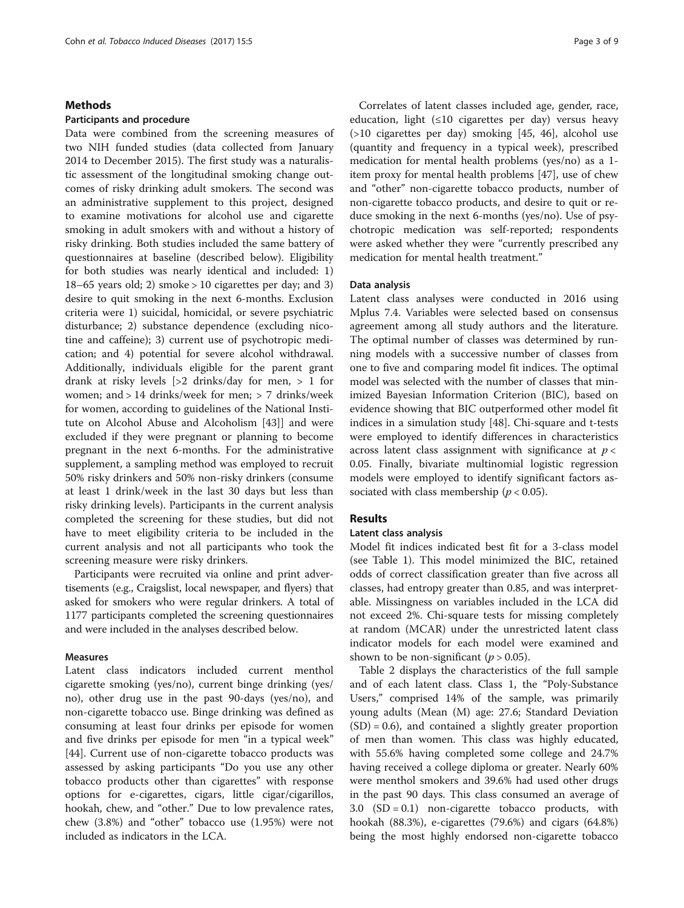## Methods

# Participants and procedure

Data were combined from the screening measures of two NIH funded studies (data collected from January 2014 to December 2015). The first study was a naturalistic assessment of the longitudinal smoking change outcomes of risky drinking adult smokers. The second was an administrative supplement to this project, designed to examine motivations for alcohol use and cigarette smoking in adult smokers with and without a history of risky drinking. Both studies included the same battery of questionnaires at baseline (described below). Eligibility for both studies was nearly identical and included: 1) 18–65 years old; 2) smoke > 10 cigarettes per day; and 3) desire to quit smoking in the next 6-months. Exclusion criteria were 1) suicidal, homicidal, or severe psychiatric disturbance; 2) substance dependence (excluding nicotine and caffeine); 3) current use of psychotropic medication; and 4) potential for severe alcohol withdrawal. Additionally, individuals eligible for the parent grant drank at risky levels [>2 drinks/day for men, > 1 for women; and > 14 drinks/week for men; > 7 drinks/week for women, according to guidelines of the National Institute on Alcohol Abuse and Alcoholism [\[43](#page-8-0)]] and were excluded if they were pregnant or planning to become pregnant in the next 6-months. For the administrative supplement, a sampling method was employed to recruit 50% risky drinkers and 50% non-risky drinkers (consume at least 1 drink/week in the last 30 days but less than risky drinking levels). Participants in the current analysis completed the screening for these studies, but did not have to meet eligibility criteria to be included in the current analysis and not all participants who took the screening measure were risky drinkers.

Participants were recruited via online and print advertisements (e.g., Craigslist, local newspaper, and flyers) that asked for smokers who were regular drinkers. A total of 1177 participants completed the screening questionnaires and were included in the analyses described below.

# Measures

Latent class indicators included current menthol cigarette smoking (yes/no), current binge drinking (yes/ no), other drug use in the past 90-days (yes/no), and non-cigarette tobacco use. Binge drinking was defined as consuming at least four drinks per episode for women and five drinks per episode for men "in a typical week" [[44\]](#page-8-0). Current use of non-cigarette tobacco products was assessed by asking participants "Do you use any other tobacco products other than cigarettes" with response options for e-cigarettes, cigars, little cigar/cigarillos, hookah, chew, and "other." Due to low prevalence rates, chew (3.8%) and "other" tobacco use (1.95%) were not included as indicators in the LCA.

Correlates of latent classes included age, gender, race, education, light  $(\leq 10$  cigarettes per day) versus heavy (>10 cigarettes per day) smoking [\[45, 46\]](#page-8-0), alcohol use (quantity and frequency in a typical week), prescribed medication for mental health problems (yes/no) as a 1 item proxy for mental health problems [\[47](#page-8-0)], use of chew and "other" non-cigarette tobacco products, number of non-cigarette tobacco products, and desire to quit or reduce smoking in the next 6-months (yes/no). Use of psychotropic medication was self-reported; respondents were asked whether they were "currently prescribed any medication for mental health treatment."

## Data analysis

Latent class analyses were conducted in 2016 using Mplus 7.4. Variables were selected based on consensus agreement among all study authors and the literature. The optimal number of classes was determined by running models with a successive number of classes from one to five and comparing model fit indices. The optimal model was selected with the number of classes that minimized Bayesian Information Criterion (BIC), based on evidence showing that BIC outperformed other model fit indices in a simulation study [\[48](#page-8-0)]. Chi-square and t-tests were employed to identify differences in characteristics across latent class assignment with significance at  $p <$ 0.05. Finally, bivariate multinomial logistic regression models were employed to identify significant factors associated with class membership ( $p < 0.05$ ).

# Results

# Latent class analysis

Model fit indices indicated best fit for a 3-class model (see Table [1\)](#page-3-0). This model minimized the BIC, retained odds of correct classification greater than five across all classes, had entropy greater than 0.85, and was interpretable. Missingness on variables included in the LCA did not exceed 2%. Chi-square tests for missing completely at random (MCAR) under the unrestricted latent class indicator models for each model were examined and shown to be non-significant ( $p > 0.05$ ).

Table [2](#page-4-0) displays the characteristics of the full sample and of each latent class. Class 1, the "Poly-Substance Users," comprised 14% of the sample, was primarily young adults (Mean (M) age: 27.6; Standard Deviation (SD) = 0.6), and contained a slightly greater proportion of men than women. This class was highly educated, with 55.6% having completed some college and 24.7% having received a college diploma or greater. Nearly 60% were menthol smokers and 39.6% had used other drugs in the past 90 days. This class consumed an average of 3.0  $(SD = 0.1)$  non-cigarette tobacco products, with hookah (88.3%), e-cigarettes (79.6%) and cigars (64.8%) being the most highly endorsed non-cigarette tobacco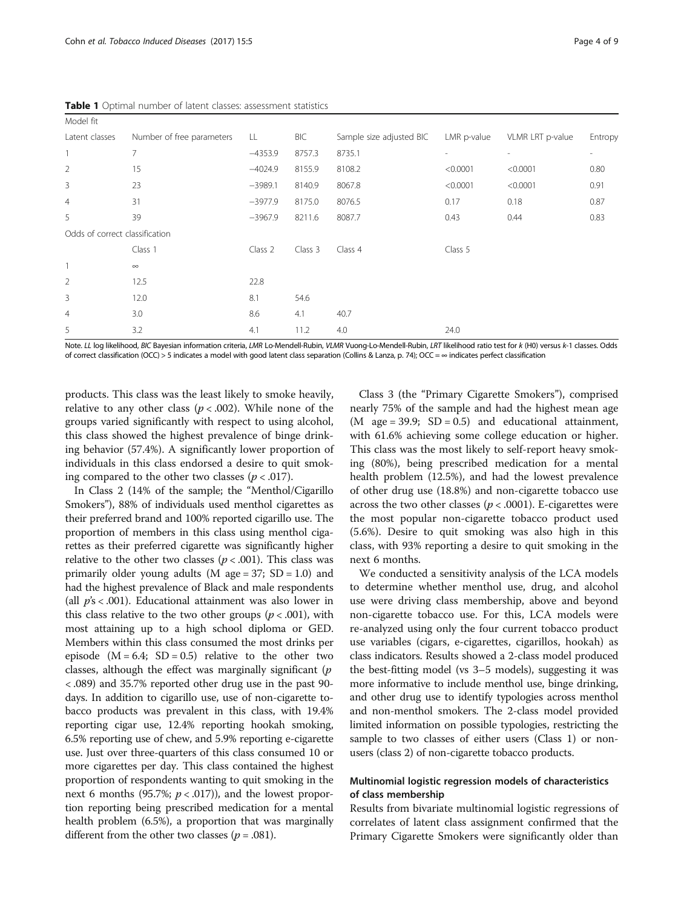Model fit

<span id="page-3-0"></span>Table 1 Optimal number of latent classes: assessment stati

| stics |  |  |  |
|-------|--|--|--|
|       |  |  |  |

| 5                              | 3.2                       | 4.1       | 11.2       | 4.0                      | 24.0                     |                  |         |
|--------------------------------|---------------------------|-----------|------------|--------------------------|--------------------------|------------------|---------|
| $\overline{4}$                 | 3.0                       | 8.6       | 4.1        | 40.7                     |                          |                  |         |
| 3                              | 12.0                      | 8.1       | 54.6       |                          |                          |                  |         |
| $\overline{2}$                 | 12.5                      | 22.8      |            |                          |                          |                  |         |
|                                | $\infty$                  |           |            |                          |                          |                  |         |
|                                | Class 1                   | Class 2   | Class 3    | Class 4                  | Class 5                  |                  |         |
| Odds of correct classification |                           |           |            |                          |                          |                  |         |
| 5                              | 39                        | $-3967.9$ | 8211.6     | 8087.7                   | 0.43                     | 0.44             | 0.83    |
| $\overline{4}$                 | 31                        | $-3977.9$ | 8175.0     | 8076.5                   | 0.17                     | 0.18             | 0.87    |
| 3                              | 23                        | $-3989.1$ | 8140.9     | 8067.8                   | < 0.0001                 | < 0.0001         | 0.91    |
| $\overline{2}$                 | 15                        | $-4024.9$ | 8155.9     | 8108.2                   | < 0.0001                 | < 0.0001         | 0.80    |
|                                | $\overline{7}$            | $-4353.9$ | 8757.3     | 8735.1                   | $\overline{\phantom{a}}$ | $\sim$           |         |
| Latent classes                 | Number of free parameters | LL.       | <b>BIC</b> | Sample size adjusted BIC | LMR p-value              | VLMR LRT p-value | Entropy |
|                                |                           |           |            |                          |                          |                  |         |

Note. LL log likelihood, BIC Bayesian information criteria, LMR Lo-Mendell-Rubin, VLMR Vuong-Lo-Mendell-Rubin, LRT likelihood ratio test for k (H0) versus k-1 classes. Odds of correct classification (OCC) > 5 indicates a model with good latent class separation (Collins & Lanza, p. 74); OCC =  $\infty$  indicates perfect classification

products. This class was the least likely to smoke heavily, relative to any other class ( $p < .002$ ). While none of the groups varied significantly with respect to using alcohol, this class showed the highest prevalence of binge drinking behavior (57.4%). A significantly lower proportion of individuals in this class endorsed a desire to quit smoking compared to the other two classes ( $p < .017$ ).

In Class 2 (14% of the sample; the "Menthol/Cigarillo Smokers"), 88% of individuals used menthol cigarettes as their preferred brand and 100% reported cigarillo use. The proportion of members in this class using menthol cigarettes as their preferred cigarette was significantly higher relative to the other two classes ( $p < .001$ ). This class was primarily older young adults (M age =  $37$ ; SD = 1.0) and had the highest prevalence of Black and male respondents (all  $p's < .001$ ). Educational attainment was also lower in this class relative to the two other groups ( $p < .001$ ), with most attaining up to a high school diploma or GED. Members within this class consumed the most drinks per episode  $(M = 6.4; SD = 0.5)$  relative to the other two classes, although the effect was marginally significant  $(p)$ < .089) and 35.7% reported other drug use in the past 90 days. In addition to cigarillo use, use of non-cigarette tobacco products was prevalent in this class, with 19.4% reporting cigar use, 12.4% reporting hookah smoking, 6.5% reporting use of chew, and 5.9% reporting e-cigarette use. Just over three-quarters of this class consumed 10 or more cigarettes per day. This class contained the highest proportion of respondents wanting to quit smoking in the next 6 months (95.7%;  $p < .017$ )), and the lowest proportion reporting being prescribed medication for a mental health problem (6.5%), a proportion that was marginally different from the other two classes ( $p = .081$ ).

Class 3 (the "Primary Cigarette Smokers"), comprised nearly 75% of the sample and had the highest mean age  $(M \text{ age} = 39.9; SD = 0.5)$  and educational attainment, with 61.6% achieving some college education or higher. This class was the most likely to self-report heavy smoking (80%), being prescribed medication for a mental health problem (12.5%), and had the lowest prevalence of other drug use (18.8%) and non-cigarette tobacco use across the two other classes ( $p < .0001$ ). E-cigarettes were the most popular non-cigarette tobacco product used (5.6%). Desire to quit smoking was also high in this class, with 93% reporting a desire to quit smoking in the next 6 months.

We conducted a sensitivity analysis of the LCA models to determine whether menthol use, drug, and alcohol use were driving class membership, above and beyond non-cigarette tobacco use. For this, LCA models were re-analyzed using only the four current tobacco product use variables (cigars, e-cigarettes, cigarillos, hookah) as class indicators. Results showed a 2-class model produced the best-fitting model (vs 3–5 models), suggesting it was more informative to include menthol use, binge drinking, and other drug use to identify typologies across menthol and non-menthol smokers. The 2-class model provided limited information on possible typologies, restricting the sample to two classes of either users (Class 1) or nonusers (class 2) of non-cigarette tobacco products.

# Multinomial logistic regression models of characteristics of class membership

Results from bivariate multinomial logistic regressions of correlates of latent class assignment confirmed that the Primary Cigarette Smokers were significantly older than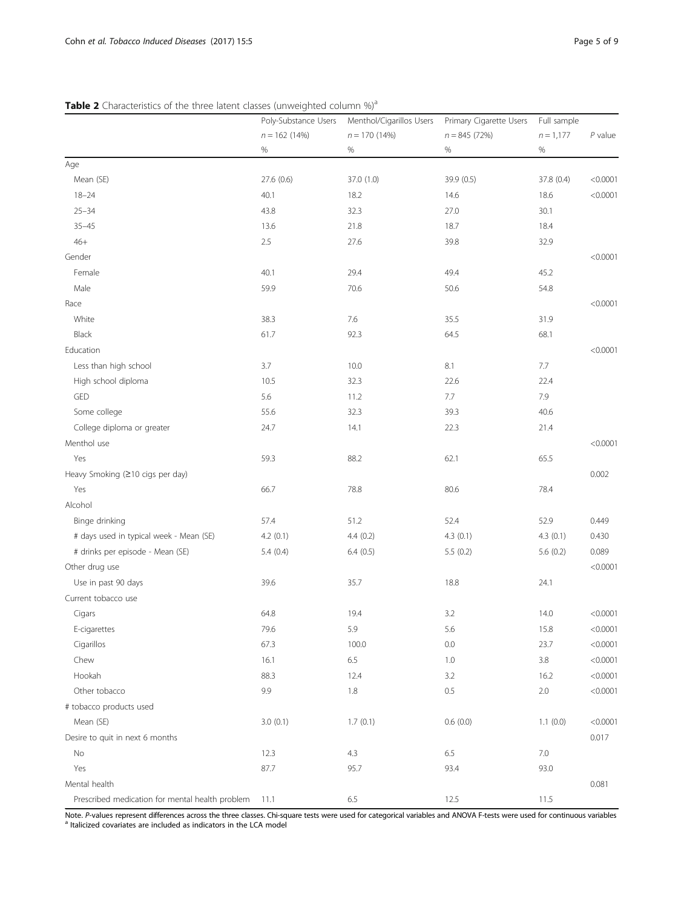<span id="page-4-0"></span>Table 2 Characteristics of the three latent classes (unweighted column %)<sup>a</sup>

|                                                 | Poly-Substance Users | Menthol/Cigarillos Users<br>$n = 170(14%)$<br>$\%$ | Primary Cigarette Users<br>$n = 845(72%)$<br>$\%$ | Full sample         | $P$ value |
|-------------------------------------------------|----------------------|----------------------------------------------------|---------------------------------------------------|---------------------|-----------|
|                                                 | $n = 162(14%)$<br>%  |                                                    |                                                   | $n = 1,177$<br>$\%$ |           |
|                                                 |                      |                                                    |                                                   |                     |           |
| Age                                             |                      |                                                    |                                                   |                     |           |
| Mean (SE)                                       | 27.6 (0.6)           | 37.0 (1.0)                                         | 39.9 (0.5)                                        | 37.8 (0.4)          | < 0.0001  |
| $18 - 24$                                       | 40.1                 | 18.2                                               | 14.6                                              | 18.6                | < 0.0001  |
| $25 - 34$                                       | 43.8                 | 32.3                                               | 27.0                                              | 30.1                |           |
| $35 - 45$                                       | 13.6                 | 21.8                                               | 18.7                                              | 18.4                |           |
| $46+$                                           | 2.5                  | 27.6                                               | 39.8                                              | 32.9                |           |
| Gender                                          |                      |                                                    |                                                   |                     | < 0.0001  |
| Female                                          | 40.1                 | 29.4                                               | 49.4                                              | 45.2                |           |
| Male                                            | 59.9                 | 70.6                                               | 50.6                                              | 54.8                |           |
| Race                                            |                      |                                                    |                                                   |                     | < 0.0001  |
| White                                           | 38.3                 | 7.6                                                | 35.5                                              | 31.9                |           |
| Black                                           | 61.7                 | 92.3                                               | 64.5                                              | 68.1                |           |
| Education                                       |                      |                                                    |                                                   |                     | < 0.0001  |
| Less than high school                           | 3.7                  | 10.0                                               | 8.1                                               | $7.7\,$             |           |
| High school diploma                             | 10.5                 | 32.3                                               | 22.6                                              | 22.4                |           |
| GED                                             | 5.6                  | 11.2                                               | 7.7                                               | 7.9                 |           |
| Some college                                    | 55.6                 | 32.3                                               | 39.3                                              | 40.6                |           |
| College diploma or greater                      | 24.7                 | 14.1                                               | 22.3                                              | 21.4                |           |
| Menthol use                                     |                      |                                                    |                                                   |                     | < 0.0001  |
| Yes                                             | 59.3                 | 88.2                                               | 62.1                                              | 65.5                |           |
| Heavy Smoking (≥10 cigs per day)                |                      |                                                    |                                                   |                     | 0.002     |
| Yes                                             | 66.7                 | 78.8                                               | 80.6                                              | 78.4                |           |
| Alcohol                                         |                      |                                                    |                                                   |                     |           |
| Binge drinking                                  | 57.4                 | 51.2                                               | 52.4                                              | 52.9                | 0.449     |
| # days used in typical week - Mean (SE)         | 4.2(0.1)             | 4.4(0.2)                                           | 4.3(0.1)                                          | 4.3(0.1)            | 0.430     |
| # drinks per episode - Mean (SE)                | 5.4(0.4)             | 6.4(0.5)                                           | 5.5(0.2)                                          | 5.6(0.2)            | 0.089     |
| Other drug use                                  |                      |                                                    |                                                   |                     | < 0.0001  |
| Use in past 90 days                             | 39.6                 | 35.7                                               | 18.8                                              | 24.1                |           |
| Current tobacco use                             |                      |                                                    |                                                   |                     |           |
| Cigars                                          | 64.8                 | 19.4                                               | 3.2                                               | 14.0                | < 0.0001  |
| E-cigarettes                                    | 79.6                 | 5.9                                                | 5.6                                               | 15.8                | < 0.0001  |
| Cigarillos                                      | 67.3                 | 100.0                                              | 0.0                                               | 23.7                | < 0.0001  |
| Chew                                            | 16.1                 | 6.5                                                | 1.0                                               | $3.8\,$             | < 0.0001  |
| Hookah                                          | 88.3                 | 12.4                                               | 3.2                                               | 16.2                | < 0.0001  |
| Other tobacco                                   | 9.9                  | 1.8                                                | $0.5\,$                                           | $2.0\,$             | < 0.0001  |
| # tobacco products used                         |                      |                                                    |                                                   |                     |           |
| Mean (SE)                                       | 3.0(0.1)             | 1.7(0.1)                                           | 0.6(0.0)                                          | 1.1(0.0)            | < 0.0001  |
| Desire to quit in next 6 months                 |                      |                                                    |                                                   |                     | 0.017     |
| No                                              | 12.3                 | 4.3                                                | 6.5                                               | $7.0\,$             |           |
| Yes                                             | 87.7                 | 95.7                                               | 93.4                                              | 93.0                |           |
| Mental health                                   |                      |                                                    |                                                   |                     | 0.081     |
| Prescribed medication for mental health problem | 11.1                 | 6.5                                                | 12.5                                              | 11.5                |           |

Note. P-values represent differences across the three classes. Chi-square tests were used for categorical variables and ANOVA F-tests were used for continuous variables a laticized covariates are included as indicators in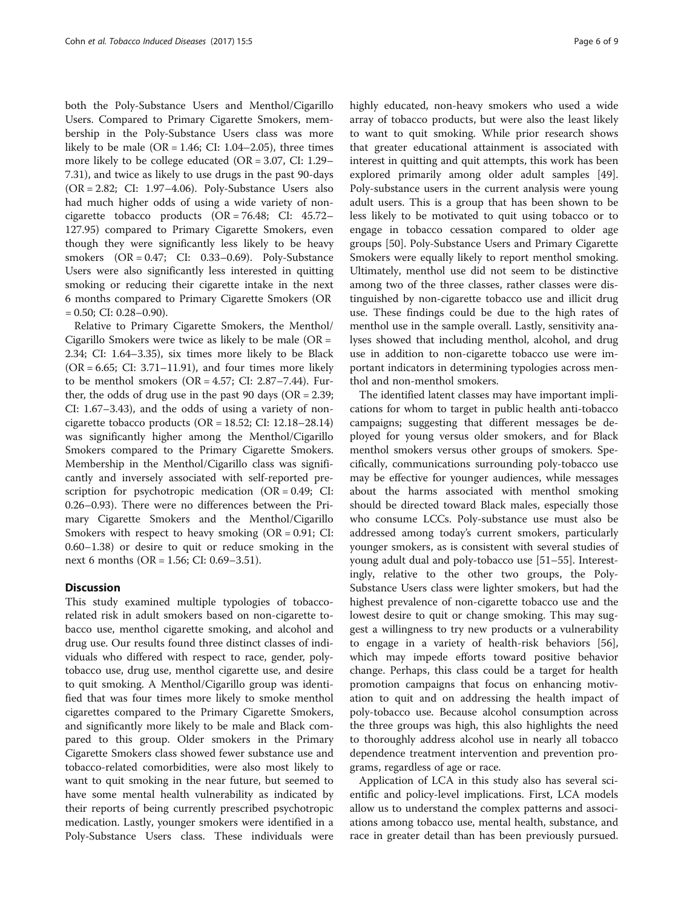both the Poly-Substance Users and Menthol/Cigarillo Users. Compared to Primary Cigarette Smokers, membership in the Poly-Substance Users class was more likely to be male (OR =  $1.46$ ; CI:  $1.04-2.05$ ), three times more likely to be college educated (OR = 3.07, CI: 1.29– 7.31), and twice as likely to use drugs in the past 90-days (OR = 2.82; CI: 1.97–4.06). Poly-Substance Users also had much higher odds of using a wide variety of noncigarette tobacco products (OR = 76.48; CI: 45.72– 127.95) compared to Primary Cigarette Smokers, even though they were significantly less likely to be heavy smokers (OR = 0.47; CI: 0.33–0.69). Poly-Substance Users were also significantly less interested in quitting smoking or reducing their cigarette intake in the next 6 months compared to Primary Cigarette Smokers (OR  $= 0.50$ ; CI: 0.28–0.90).

Relative to Primary Cigarette Smokers, the Menthol/ Cigarillo Smokers were twice as likely to be male  $(OR =$ 2.34; CI: 1.64–3.35), six times more likely to be Black  $(OR = 6.65; CI: 3.71–11.91)$ , and four times more likely to be menthol smokers  $(OR = 4.57; CI: 2.87 - 7.44)$ . Further, the odds of drug use in the past 90 days ( $OR = 2.39$ ; CI: 1.67–3.43), and the odds of using a variety of noncigarette tobacco products (OR =  $18.52$ ; CI: 12.18–28.14) was significantly higher among the Menthol/Cigarillo Smokers compared to the Primary Cigarette Smokers. Membership in the Menthol/Cigarillo class was significantly and inversely associated with self-reported prescription for psychotropic medication (OR = 0.49; CI: 0.26–0.93). There were no differences between the Primary Cigarette Smokers and the Menthol/Cigarillo Smokers with respect to heavy smoking  $(OR = 0.91; CI:$ 0.60–1.38) or desire to quit or reduce smoking in the next 6 months (OR = 1.56; CI: 0.69–3.51).

# **Discussion**

This study examined multiple typologies of tobaccorelated risk in adult smokers based on non-cigarette tobacco use, menthol cigarette smoking, and alcohol and drug use. Our results found three distinct classes of individuals who differed with respect to race, gender, polytobacco use, drug use, menthol cigarette use, and desire to quit smoking. A Menthol/Cigarillo group was identified that was four times more likely to smoke menthol cigarettes compared to the Primary Cigarette Smokers, and significantly more likely to be male and Black compared to this group. Older smokers in the Primary Cigarette Smokers class showed fewer substance use and tobacco-related comorbidities, were also most likely to want to quit smoking in the near future, but seemed to have some mental health vulnerability as indicated by their reports of being currently prescribed psychotropic medication. Lastly, younger smokers were identified in a Poly-Substance Users class. These individuals were highly educated, non-heavy smokers who used a wide array of tobacco products, but were also the least likely to want to quit smoking. While prior research shows that greater educational attainment is associated with interest in quitting and quit attempts, this work has been explored primarily among older adult samples [\[49](#page-8-0)]. Poly-substance users in the current analysis were young adult users. This is a group that has been shown to be less likely to be motivated to quit using tobacco or to engage in tobacco cessation compared to older age groups [[50\]](#page-8-0). Poly-Substance Users and Primary Cigarette Smokers were equally likely to report menthol smoking. Ultimately, menthol use did not seem to be distinctive among two of the three classes, rather classes were distinguished by non-cigarette tobacco use and illicit drug use. These findings could be due to the high rates of menthol use in the sample overall. Lastly, sensitivity analyses showed that including menthol, alcohol, and drug use in addition to non-cigarette tobacco use were important indicators in determining typologies across menthol and non-menthol smokers.

The identified latent classes may have important implications for whom to target in public health anti-tobacco campaigns; suggesting that different messages be deployed for young versus older smokers, and for Black menthol smokers versus other groups of smokers. Specifically, communications surrounding poly-tobacco use may be effective for younger audiences, while messages about the harms associated with menthol smoking should be directed toward Black males, especially those who consume LCCs. Poly-substance use must also be addressed among today's current smokers, particularly younger smokers, as is consistent with several studies of young adult dual and poly-tobacco use [\[51](#page-8-0)–[55\]](#page-8-0). Interestingly, relative to the other two groups, the Poly-Substance Users class were lighter smokers, but had the highest prevalence of non-cigarette tobacco use and the lowest desire to quit or change smoking. This may suggest a willingness to try new products or a vulnerability to engage in a variety of health-risk behaviors [\[56](#page-8-0)], which may impede efforts toward positive behavior change. Perhaps, this class could be a target for health promotion campaigns that focus on enhancing motivation to quit and on addressing the health impact of poly-tobacco use. Because alcohol consumption across the three groups was high, this also highlights the need to thoroughly address alcohol use in nearly all tobacco dependence treatment intervention and prevention programs, regardless of age or race.

Application of LCA in this study also has several scientific and policy-level implications. First, LCA models allow us to understand the complex patterns and associations among tobacco use, mental health, substance, and race in greater detail than has been previously pursued.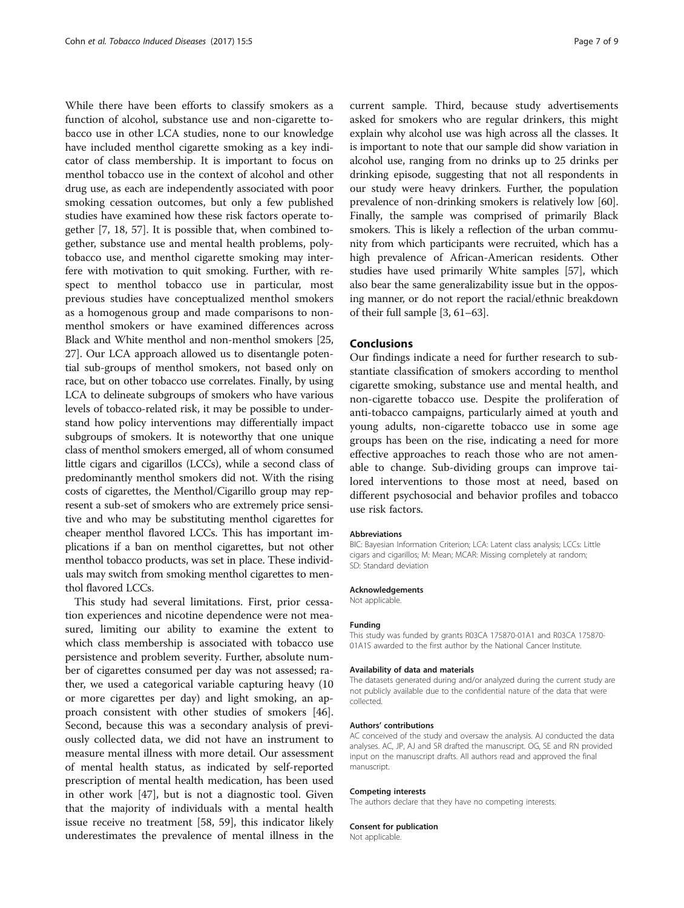While there have been efforts to classify smokers as a function of alcohol, substance use and non-cigarette tobacco use in other LCA studies, none to our knowledge have included menthol cigarette smoking as a key indicator of class membership. It is important to focus on menthol tobacco use in the context of alcohol and other drug use, as each are independently associated with poor smoking cessation outcomes, but only a few published studies have examined how these risk factors operate together [[7, 18,](#page-7-0) [57](#page-8-0)]. It is possible that, when combined together, substance use and mental health problems, polytobacco use, and menthol cigarette smoking may interfere with motivation to quit smoking. Further, with respect to menthol tobacco use in particular, most previous studies have conceptualized menthol smokers as a homogenous group and made comparisons to nonmenthol smokers or have examined differences across Black and White menthol and non-menthol smokers [[25](#page-7-0), [27](#page-7-0)]. Our LCA approach allowed us to disentangle potential sub-groups of menthol smokers, not based only on race, but on other tobacco use correlates. Finally, by using LCA to delineate subgroups of smokers who have various levels of tobacco-related risk, it may be possible to understand how policy interventions may differentially impact subgroups of smokers. It is noteworthy that one unique class of menthol smokers emerged, all of whom consumed little cigars and cigarillos (LCCs), while a second class of predominantly menthol smokers did not. With the rising costs of cigarettes, the Menthol/Cigarillo group may represent a sub-set of smokers who are extremely price sensitive and who may be substituting menthol cigarettes for cheaper menthol flavored LCCs. This has important implications if a ban on menthol cigarettes, but not other menthol tobacco products, was set in place. These individuals may switch from smoking menthol cigarettes to menthol flavored LCCs.

This study had several limitations. First, prior cessation experiences and nicotine dependence were not measured, limiting our ability to examine the extent to which class membership is associated with tobacco use persistence and problem severity. Further, absolute number of cigarettes consumed per day was not assessed; rather, we used a categorical variable capturing heavy (10 or more cigarettes per day) and light smoking, an approach consistent with other studies of smokers [\[46](#page-8-0)]. Second, because this was a secondary analysis of previously collected data, we did not have an instrument to measure mental illness with more detail. Our assessment of mental health status, as indicated by self-reported prescription of mental health medication, has been used in other work [\[47\]](#page-8-0), but is not a diagnostic tool. Given that the majority of individuals with a mental health issue receive no treatment [[58, 59](#page-8-0)], this indicator likely underestimates the prevalence of mental illness in the current sample. Third, because study advertisements asked for smokers who are regular drinkers, this might explain why alcohol use was high across all the classes. It is important to note that our sample did show variation in alcohol use, ranging from no drinks up to 25 drinks per drinking episode, suggesting that not all respondents in our study were heavy drinkers. Further, the population prevalence of non-drinking smokers is relatively low [[60](#page-8-0)]. Finally, the sample was comprised of primarily Black smokers. This is likely a reflection of the urban community from which participants were recruited, which has a high prevalence of African-American residents. Other studies have used primarily White samples [[57](#page-8-0)], which also bear the same generalizability issue but in the opposing manner, or do not report the racial/ethnic breakdown of their full sample [[3,](#page-7-0) [61](#page-8-0)–[63](#page-8-0)].

# Conclusions

Our findings indicate a need for further research to substantiate classification of smokers according to menthol cigarette smoking, substance use and mental health, and non-cigarette tobacco use. Despite the proliferation of anti-tobacco campaigns, particularly aimed at youth and young adults, non-cigarette tobacco use in some age groups has been on the rise, indicating a need for more effective approaches to reach those who are not amenable to change. Sub-dividing groups can improve tailored interventions to those most at need, based on different psychosocial and behavior profiles and tobacco use risk factors.

#### Abbreviations

BIC: Bayesian Information Criterion; LCA: Latent class analysis; LCCs: Little cigars and cigarillos; M: Mean; MCAR: Missing completely at random; SD: Standard deviation

#### Acknowledgements

Not applicable.

#### Funding

This study was funded by grants R03CA 175870-01A1 and R03CA 175870- 01A1S awarded to the first author by the National Cancer Institute.

#### Availability of data and materials

The datasets generated during and/or analyzed during the current study are not publicly available due to the confidential nature of the data that were collected.

#### Authors' contributions

AC conceived of the study and oversaw the analysis. AJ conducted the data analyses. AC, JP, AJ and SR drafted the manuscript. OG, SE and RN provided input on the manuscript drafts. All authors read and approved the final manuscript.

#### Competing interests

The authors declare that they have no competing interests.

#### Consent for publication

Not applicable.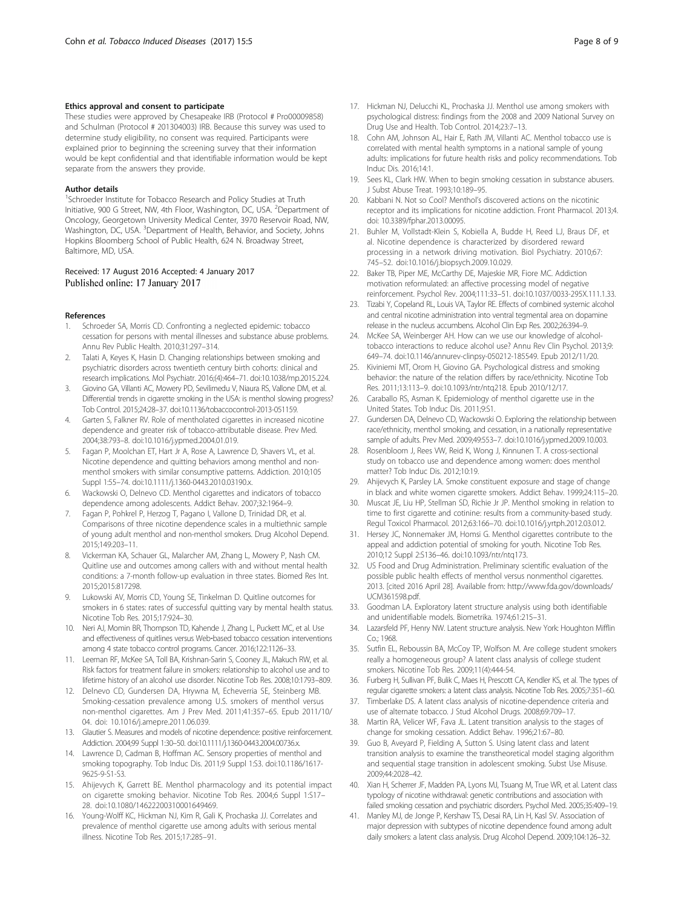## <span id="page-7-0"></span>Ethics approval and consent to participate

These studies were approved by Chesapeake IRB (Protocol # Pro00009858) and Schulman (Protocol # 201304003) IRB. Because this survey was used to determine study eligibility, no consent was required. Participants were explained prior to beginning the screening survey that their information would be kept confidential and that identifiable information would be kept separate from the answers they provide.

#### Author details

<sup>1</sup>Schroeder Institute for Tobacco Research and Policy Studies at Truth Initiative, 900 G Street, NW, 4th Floor, Washington, DC, USA. <sup>2</sup>Department of Oncology, Georgetown University Medical Center, 3970 Reservoir Road, NW, Washington, DC, USA. <sup>3</sup>Department of Health, Behavior, and Society, Johns Hopkins Bloomberg School of Public Health, 624 N. Broadway Street, Baltimore, MD, USA.

### Received: 17 August 2016 Accepted: 4 January 2017 Published online: 17 January 2017

#### References

- 1. Schroeder SA, Morris CD. Confronting a neglected epidemic: tobacco cessation for persons with mental illnesses and substance abuse problems. Annu Rev Public Health. 2010;31:297–314.
- Talati A, Keyes K, Hasin D. Changing relationships between smoking and psychiatric disorders across twentieth century birth cohorts: clinical and research implications. Mol Psychiatr. 2016;(4):464–71. doi:[10.1038/mp.2015.224](http://dx.doi.org/10.1038/mp.2015.224).
- 3. Giovino GA, Villanti AC, Mowery PD, Sevilimedu V, Niaura RS, Vallone DM, et al. Differential trends in cigarette smoking in the USA: is menthol slowing progress? Tob Control. 2015;24:28–37. doi:[10.1136/tobaccocontrol-2013-051159](http://dx.doi.org/10.1136/tobaccocontrol-2013-051159).
- 4. Garten S, Falkner RV. Role of mentholated cigarettes in increased nicotine dependence and greater risk of tobacco-attributable disease. Prev Med. 2004;38:793–8. doi[:10.1016/j.ypmed.2004.01.019](http://dx.doi.org/10.1016/j.ypmed.2004.01.019).
- 5. Fagan P, Moolchan ET, Hart Jr A, Rose A, Lawrence D, Shavers VL, et al. Nicotine dependence and quitting behaviors among menthol and nonmenthol smokers with similar consumptive patterns. Addiction. 2010;105 Suppl 1:55–74. doi[:10.1111/j.1360-0443.2010.03190.x.](http://dx.doi.org/10.1111/j.1360-0443.2010.03190.x)
- 6. Wackowski O, Delnevo CD. Menthol cigarettes and indicators of tobacco dependence among adolescents. Addict Behav. 2007;32:1964–9.
- 7. Fagan P, Pohkrel P, Herzog T, Pagano I, Vallone D, Trinidad DR, et al. Comparisons of three nicotine dependence scales in a multiethnic sample of young adult menthol and non-menthol smokers. Drug Alcohol Depend. 2015;149:203–11.
- 8. Vickerman KA, Schauer GL, Malarcher AM, Zhang L, Mowery P, Nash CM. Quitline use and outcomes among callers with and without mental health conditions: a 7-month follow-up evaluation in three states. Biomed Res Int. 2015;2015:817298.
- 9. Lukowski AV, Morris CD, Young SE, Tinkelman D. Quitline outcomes for smokers in 6 states: rates of successful quitting vary by mental health status. Nicotine Tob Res. 2015;17:924–30.
- 10. Neri AJ, Momin BR, Thompson TD, Kahende J, Zhang L, Puckett MC, et al. Use and effectiveness of quitlines versus Web‐based tobacco cessation interventions among 4 state tobacco control programs. Cancer. 2016;122:1126–33.
- 11. Leeman RF, McKee SA, Toll BA, Krishnan-Sarin S, Cooney JL, Makuch RW, et al. Risk factors for treatment failure in smokers: relationship to alcohol use and to lifetime history of an alcohol use disorder. Nicotine Tob Res. 2008;10:1793–809.
- 12. Delnevo CD, Gundersen DA, Hrywna M, Echeverria SE, Steinberg MB. Smoking-cessation prevalence among U.S. smokers of menthol versus non-menthol cigarettes. Am J Prev Med. 2011;41:357–65. Epub 2011/10/ 04. doi: [10.1016/j.amepre.2011.06.039.](http://dx.doi.org/10.1016/j.amepre.2011.06.039)
- 13. Glautier S. Measures and models of nicotine dependence: positive reinforcement. Addiction. 2004;99 Suppl 1:30–50. doi[:10.1111/j.1360-0443.2004.00736.x](http://dx.doi.org/10.1111/j.1360-0443.2004.00736.x).
- 14. Lawrence D, Cadman B, Hoffman AC. Sensory properties of menthol and smoking topography. Tob Induc Dis. 2011;9 Suppl 1:S3. doi:[10.1186/1617-](http://dx.doi.org/10.1186/1617-9625-9-S1-S3) [9625-9-S1-S3](http://dx.doi.org/10.1186/1617-9625-9-S1-S3).
- 15. Ahijevych K, Garrett BE. Menthol pharmacology and its potential impact on cigarette smoking behavior. Nicotine Tob Res. 2004;6 Suppl 1:S17– 28. doi[:10.1080/14622200310001649469](http://dx.doi.org/10.1080/14622200310001649469).
- 16. Young-Wolff KC, Hickman NJ, Kim R, Gali K, Prochaska JJ. Correlates and prevalence of menthol cigarette use among adults with serious mental illness. Nicotine Tob Res. 2015;17:285–91.
- 17. Hickman NJ, Delucchi KL, Prochaska JJ. Menthol use among smokers with psychological distress: findings from the 2008 and 2009 National Survey on Drug Use and Health. Tob Control. 2014;23:7–13.
- 18. Cohn AM, Johnson AL, Hair E, Rath JM, Villanti AC. Menthol tobacco use is correlated with mental health symptoms in a national sample of young adults: implications for future health risks and policy recommendations. Tob Induc Dis. 2016;14:1.
- 19. Sees KL, Clark HW. When to begin smoking cessation in substance abusers. J Subst Abuse Treat. 1993;10:189–95.
- 20. Kabbani N. Not so Cool? Menthol's discovered actions on the nicotinic receptor and its implications for nicotine addiction. Front Pharmacol. 2013;4. doi: [10.3389/fphar.2013.00095](http://dx.doi.org/10.3389/fphar.2013.00095).
- 21. Buhler M, Vollstadt-Klein S, Kobiella A, Budde H, Reed LJ, Braus DF, et al. Nicotine dependence is characterized by disordered reward processing in a network driving motivation. Biol Psychiatry. 2010;67: 745–52. doi:[10.1016/j.biopsych.2009.10.029.](http://dx.doi.org/10.1016/j.biopsych.2009.10.029)
- 22. Baker TB, Piper ME, McCarthy DE, Majeskie MR, Fiore MC. Addiction motivation reformulated: an affective processing model of negative reinforcement. Psychol Rev. 2004;111:33–51. doi[:10.1037/0033-295X.111.1.33](http://dx.doi.org/10.1037/0033-295X.111.1.33).
- 23. Tizabi Y, Copeland RL, Louis VA, Taylor RE. Effects of combined systemic alcohol and central nicotine administration into ventral tegmental area on dopamine release in the nucleus accumbens. Alcohol Clin Exp Res. 2002;26:394–9.
- 24. McKee SA, Weinberger AH. How can we use our knowledge of alcoholtobacco interactions to reduce alcohol use? Annu Rev Clin Psychol. 2013;9: 649–74. doi:[10.1146/annurev-clinpsy-050212-185549.](http://dx.doi.org/10.1146/annurev-clinpsy-050212-185549) Epub 2012/11/20.
- 25. Kiviniemi MT, Orom H, Giovino GA. Psychological distress and smoking behavior: the nature of the relation differs by race/ethnicity. Nicotine Tob Res. 2011;13:113–9. doi[:10.1093/ntr/ntq218.](http://dx.doi.org/10.1093/ntr/ntq218) Epub 2010/12/17.
- 26. Caraballo RS, Asman K. Epidemiology of menthol cigarette use in the United States. Tob Induc Dis. 2011;9:S1.
- 27. Gundersen DA, Delnevo CD, Wackowski O. Exploring the relationship between race/ethnicity, menthol smoking, and cessation, in a nationally representative sample of adults. Prev Med. 2009;49:553–7. doi[:10.1016/j.ypmed.2009.10.003](http://dx.doi.org/10.1016/j.ypmed.2009.10.003).
- 28. Rosenbloom J, Rees VW, Reid K, Wong J, Kinnunen T. A cross-sectional study on tobacco use and dependence among women: does menthol matter? Tob Induc Dis. 2012;10:19.
- 29. Ahijevych K, Parsley LA. Smoke constituent exposure and stage of change in black and white women cigarette smokers. Addict Behav. 1999;24:115–20.
- 30. Muscat JE, Liu HP, Stellman SD, Richie Jr JP. Menthol smoking in relation to time to first cigarette and cotinine: results from a community-based study. Regul Toxicol Pharmacol. 2012;63:166–70. doi[:10.1016/j.yrtph.2012.03.012](http://dx.doi.org/10.1016/j.yrtph.2012.03.012).
- 31. Hersey JC, Nonnemaker JM, Homsi G. Menthol cigarettes contribute to the appeal and addiction potential of smoking for youth. Nicotine Tob Res. 2010;12 Suppl 2:S136–46. doi:[10.1093/ntr/ntq173.](http://dx.doi.org/10.1093/ntr/ntq173)
- 32. US Food and Drug Administration. Preliminary scientific evaluation of the possible public health effects of menthol versus nonmenthol cigarettes. 2013. [cited 2016 April 28]. Available from: [http://www.fda.gov/downloads/](http://www.fda.gov/downloads/UCM361598.pdf) [UCM361598.pdf.](http://www.fda.gov/downloads/UCM361598.pdf)
- 33. Goodman LA. Exploratory latent structure analysis using both identifiable and unidentifiable models. Biometrika. 1974;61:215–31.
- 34. Lazarsfeld PF, Henry NW. Latent structure analysis. New York: Houghton Mifflin Co.; 1968.
- 35. Sutfin EL, Reboussin BA, McCoy TP, Wolfson M. Are college student smokers really a homogeneous group? A latent class analysis of college student smokers. Nicotine Tob Res. 2009;11(4):444-54.
- 36. Furberg H, Sullivan PF, Bulik C, Maes H, Prescott CA, Kendler KS, et al. The types of regular cigarette smokers: a latent class analysis. Nicotine Tob Res. 2005;7:351–60.
- 37. Timberlake DS. A latent class analysis of nicotine-dependence criteria and use of alternate tobacco. J Stud Alcohol Drugs. 2008;69:709–17.
- 38. Martin RA, Velicer WF, Fava JL. Latent transition analysis to the stages of change for smoking cessation. Addict Behav. 1996;21:67–80.
- 39. Guo B, Aveyard P, Fielding A, Sutton S. Using latent class and latent transition analysis to examine the transtheoretical model staging algorithm and sequential stage transition in adolescent smoking. Subst Use Misuse. 2009;44:2028–42.
- 40. Xian H, Scherrer JF, Madden PA, Lyons MJ, Tsuang M, True WR, et al. Latent class typology of nicotine withdrawal: genetic contributions and association with failed smoking cessation and psychiatric disorders. Psychol Med. 2005;35:409–19.
- 41. Manley MJ, de Jonge P, Kershaw TS, Desai RA, Lin H, Kasl SV. Association of major depression with subtypes of nicotine dependence found among adult daily smokers: a latent class analysis. Drug Alcohol Depend. 2009;104:126–32.